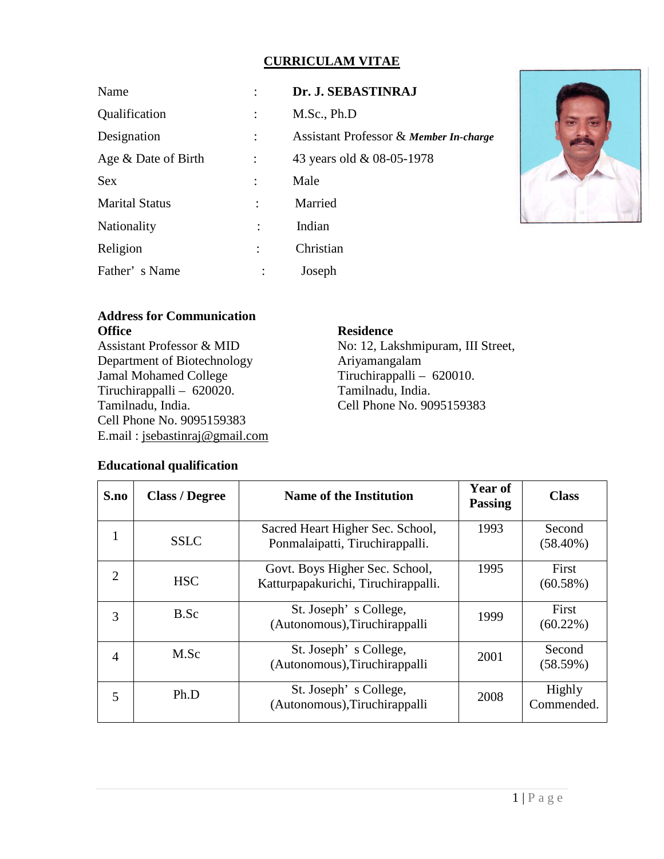# **CURRICULAM VITAE**

| Name                  |                      | Dr. J. SEBASTINRAJ                                |
|-----------------------|----------------------|---------------------------------------------------|
| Qualification         | $\ddot{\cdot}$       | M.Sc., Ph.D                                       |
| Designation           |                      | <b>Assistant Professor &amp; Member In-charge</b> |
| Age & Date of Birth   | $\ddot{\cdot}$       | 43 years old & 08-05-1978                         |
| <b>Sex</b>            |                      | Male                                              |
| <b>Marital Status</b> | $\ddot{\phantom{0}}$ | Married                                           |
| Nationality           |                      | Indian                                            |
| Religion              |                      | Christian                                         |
| Father's Name         | $\ddot{\cdot}$       | Joseph                                            |



# **Address for Communication Office**

Assistant Professor & MID Department of Biotechnology Jamal Mohamed College Tiruchirappalli – 620020. Tamilnadu, India. Cell Phone No. 9095159383 E.mail : [jsebastinraj@gmail.com](mailto:jsebastinraj@gmail.com)

# **Residence**

No: 12, Lakshmipuram, III Street, Ariyamangalam Tiruchirappalli – 620010. Tamilnadu, India. Cell Phone No. 9095159383

### **Educational qualification**

| S.no           | <b>Class / Degree</b> | <b>Name of the Institution</b>                                        | <b>Year of</b><br><b>Passing</b> | <b>Class</b>          |
|----------------|-----------------------|-----------------------------------------------------------------------|----------------------------------|-----------------------|
|                | <b>SSLC</b>           | Sacred Heart Higher Sec. School,<br>Ponmalaipatti, Tiruchirappalli.   | 1993                             | Second<br>$(58.40\%)$ |
| 2              | <b>HSC</b>            | Govt. Boys Higher Sec. School,<br>Katturpapakurichi, Tiruchirappalli. | 1995                             | First<br>(60.58%)     |
| 3              | B.Sc                  | St. Joseph's College,<br>(Autonomous), Tiruchirappalli                | 1999                             | First<br>$(60.22\%)$  |
| $\overline{A}$ | M.Sc                  | St. Joseph's College,<br>(Autonomous), Tiruchirappalli                | 2001                             | Second<br>(58.59%)    |
| 5              | Ph.D                  | St. Joseph's College,<br>(Autonomous), Tiruchirappalli                | 2008                             | Highly<br>Commended.  |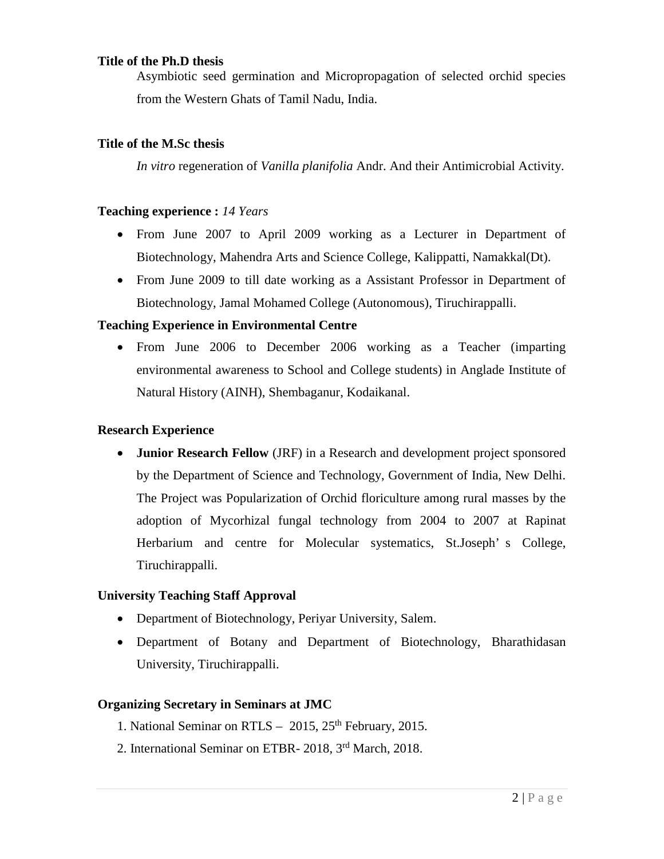# **Title of the Ph.D thesis**

Asymbiotic seed germination and Micropropagation of selected orchid species from the Western Ghats of Tamil Nadu, India.

#### **Title of the M.Sc thesis**

*In vitro* regeneration of *Vanilla planifolia* Andr. And their Antimicrobial Activity.

#### **Teaching experience :** *14 Years*

- From June 2007 to April 2009 working as a Lecturer in Department of Biotechnology, Mahendra Arts and Science College, Kalippatti, Namakkal(Dt).
- From June 2009 to till date working as a Assistant Professor in Department of Biotechnology, Jamal Mohamed College (Autonomous), Tiruchirappalli.

### **Teaching Experience in Environmental Centre**

• From June 2006 to December 2006 working as a Teacher (imparting environmental awareness to School and College students) in Anglade Institute of Natural History (AINH), Shembaganur, Kodaikanal.

#### **Research Experience**

 **Junior Research Fellow** (JRF) in a Research and development project sponsored by the Department of Science and Technology, Government of India, New Delhi. The Project was Popularization of Orchid floriculture among rural masses by the adoption of Mycorhizal fungal technology from 2004 to 2007 at Rapinat Herbarium and centre for Molecular systematics, St.Joseph' s College, Tiruchirappalli.

#### **University Teaching Staff Approval**

- Department of Biotechnology, Periyar University, Salem.
- Department of Botany and Department of Biotechnology, Bharathidasan University, Tiruchirappalli.

#### **Organizing Secretary in Seminars at JMC**

- 1. National Seminar on RTLS  $2015$ ,  $25<sup>th</sup>$  February, 2015.
- 2. International Seminar on ETBR- 2018, 3rd March, 2018.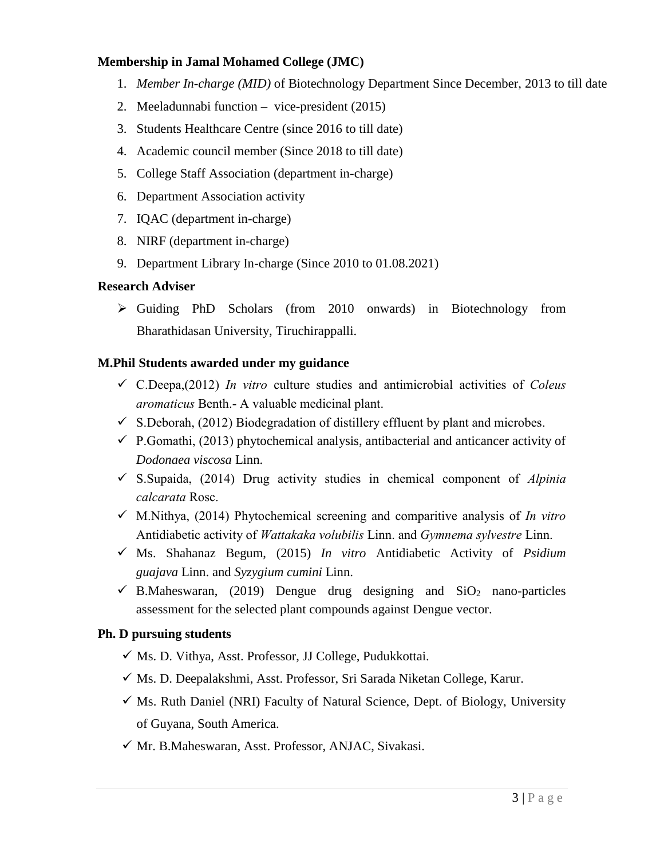### **Membership in Jamal Mohamed College (JMC)**

- 1. *Member In-charge (MID)* of Biotechnology Department Since December, 2013 to till date
- 2. Meeladunnabi function vice-president (2015)
- 3. Students Healthcare Centre (since 2016 to till date)
- 4. Academic council member (Since 2018 to till date)
- 5. College Staff Association (department in-charge)
- 6. Department Association activity
- 7. IQAC (department in-charge)
- 8. NIRF (department in-charge)
- 9. Department Library In-charge (Since 2010 to 01.08.2021)

### **Research Adviser**

 $\triangleright$  Guiding PhD Scholars (from 2010 onwards) in Biotechnology from Bharathidasan University, Tiruchirappalli.

## **M.Phil Students awarded under my guidance**

- C.Deepa,(2012) *In vitro* culture studies and antimicrobial activities of *Coleus aromaticus* Benth.- A valuable medicinal plant.
- $\checkmark$  S.Deborah, (2012) Biodegradation of distillery effluent by plant and microbes.
- $\checkmark$  P.Gomathi, (2013) phytochemical analysis, antibacterial and anticancer activity of *Dodonaea viscosa* Linn.
- S.Supaida, (2014) Drug activity studies in chemical component of *Alpinia calcarata* Rosc.
- M.Nithya, (2014) Phytochemical screening and comparitive analysis of *In vitro*  Antidiabetic activity of *Wattakaka volubilis* Linn. and *Gymnema sylvestre* Linn.
- Ms. Shahanaz Begum, (2015) *In vitro* Antidiabetic Activity of *Psidium guajava* Linn. and *Syzygium cumini* Linn.
- $\checkmark$  B.Maheswaran, (2019) Dengue drug designing and SiO<sub>2</sub> nano-particles assessment for the selected plant compounds against Dengue vector.

### **Ph. D pursuing students**

- $\checkmark$  Ms. D. Vithya, Asst. Professor, JJ College, Pudukkottai.
- $\checkmark$  Ms. D. Deepalakshmi, Asst. Professor, Sri Sarada Niketan College, Karur.
- $\checkmark$  Ms. Ruth Daniel (NRI) Faculty of Natural Science, Dept. of Biology, University of Guyana, South America.
- $\checkmark$  Mr. B.Maheswaran, Asst. Professor, ANJAC, Sivakasi.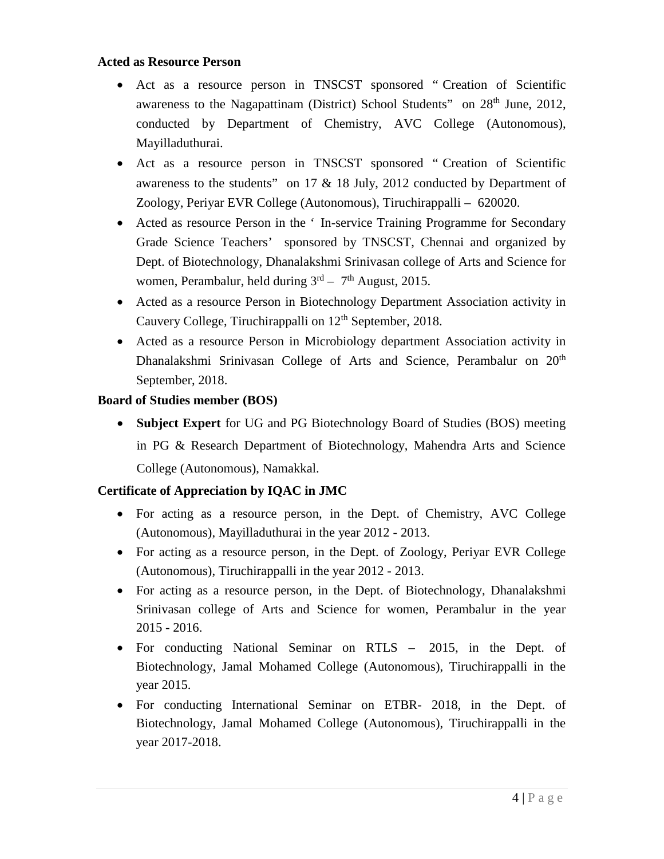### **Acted as Resource Person**

- Act as a resource person in TNSCST sponsored " Creation of Scientific awareness to the Nagapattinam (District) School Students" on 28<sup>th</sup> June, 2012, conducted by Department of Chemistry, AVC College (Autonomous), Mayilladuthurai.
- Act as a resource person in TNSCST sponsored " Creation of Scientific awareness to the students" on 17 & 18 July, 2012 conducted by Department of Zoology, Periyar EVR College (Autonomous), Tiruchirappalli – 620020.
- Acted as resource Person in the ' In-service Training Programme for Secondary Grade Science Teachers' sponsored by TNSCST, Chennai and organized by Dept. of Biotechnology, Dhanalakshmi Srinivasan college of Arts and Science for women, Perambalur, held during  $3<sup>rd</sup> - 7<sup>th</sup>$  August, 2015.
- Acted as a resource Person in Biotechnology Department Association activity in Cauvery College, Tiruchirappalli on 12<sup>th</sup> September, 2018.
- Acted as a resource Person in Microbiology department Association activity in Dhanalakshmi Srinivasan College of Arts and Science, Perambalur on 20<sup>th</sup> September, 2018.

### **Board of Studies member (BOS)**

 **Subject Expert** for UG and PG Biotechnology Board of Studies (BOS) meeting in PG & Research Department of Biotechnology, Mahendra Arts and Science College (Autonomous), Namakkal.

### **Certificate of Appreciation by IQAC in JMC**

- For acting as a resource person, in the Dept. of Chemistry, AVC College (Autonomous), Mayilladuthurai in the year 2012 - 2013.
- For acting as a resource person, in the Dept. of Zoology, Periyar EVR College (Autonomous), Tiruchirappalli in the year 2012 - 2013.
- For acting as a resource person, in the Dept. of Biotechnology, Dhanalakshmi Srinivasan college of Arts and Science for women, Perambalur in the year 2015 - 2016.
- For conducting National Seminar on RTLS 2015, in the Dept. of Biotechnology, Jamal Mohamed College (Autonomous), Tiruchirappalli in the year 2015.
- For conducting International Seminar on ETBR- 2018, in the Dept. of Biotechnology, Jamal Mohamed College (Autonomous), Tiruchirappalli in the year 2017-2018.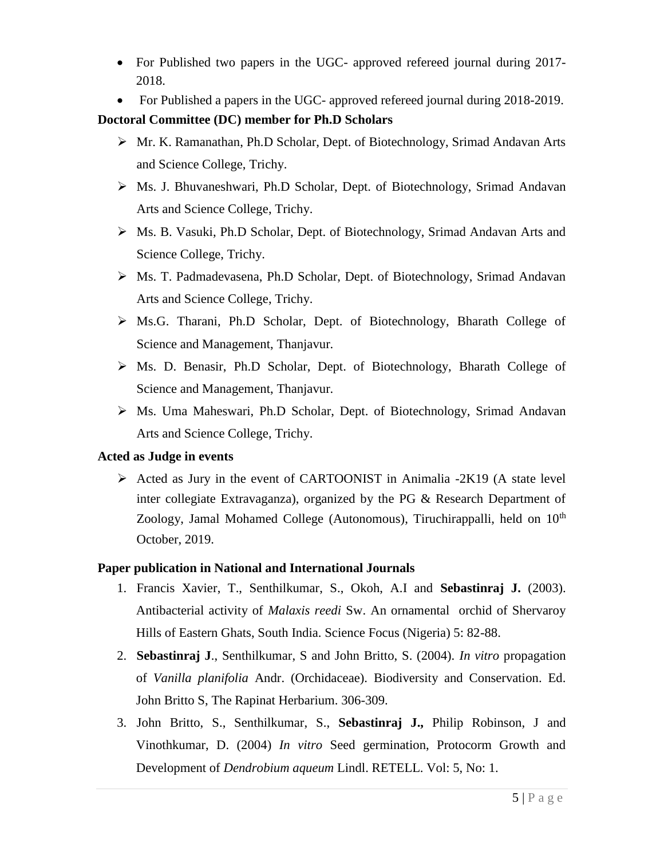- For Published two papers in the UGC- approved refereed journal during 2017-2018.
- For Published a papers in the UGC- approved refereed journal during 2018-2019.

# **Doctoral Committee (DC) member for Ph.D Scholars**

- Mr. K. Ramanathan, Ph.D Scholar, Dept. of Biotechnology, Srimad Andavan Arts and Science College, Trichy.
- Ms. J. Bhuvaneshwari, Ph.D Scholar, Dept. of Biotechnology, Srimad Andavan Arts and Science College, Trichy.
- Ms. B. Vasuki, Ph.D Scholar, Dept. of Biotechnology, Srimad Andavan Arts and Science College, Trichy.
- Ms. T. Padmadevasena, Ph.D Scholar, Dept. of Biotechnology, Srimad Andavan Arts and Science College, Trichy.
- Ms.G. Tharani, Ph.D Scholar, Dept. of Biotechnology, Bharath College of Science and Management, Thanjavur.
- $\triangleright$  Ms. D. Benasir, Ph.D Scholar, Dept. of Biotechnology, Bharath College of Science and Management, Thanjavur.
- Ms. Uma Maheswari, Ph.D Scholar, Dept. of Biotechnology, Srimad Andavan Arts and Science College, Trichy.

### **Acted as Judge in events**

 $\triangleright$  Acted as Jury in the event of CARTOONIST in Animalia -2K19 (A state level inter collegiate Extravaganza), organized by the PG & Research Department of Zoology, Jamal Mohamed College (Autonomous), Tiruchirappalli, held on  $10<sup>th</sup>$ October, 2019.

# **Paper publication in National and International Journals**

- 1. Francis Xavier, T., Senthilkumar, S., Okoh, A.I and **Sebastinraj J.** (2003). Antibacterial activity of *Malaxis reedi* Sw. An ornamental orchid of Shervaroy Hills of Eastern Ghats, South India. Science Focus (Nigeria) 5: 82-88.
- 2. **Sebastinraj J**., Senthilkumar, S and John Britto, S. (2004). *In vitro* propagation of *Vanilla planifolia* Andr. (Orchidaceae). Biodiversity and Conservation. Ed. John Britto S, The Rapinat Herbarium. 306-309.
- 3. John Britto, S., Senthilkumar, S., **Sebastinraj J.,** Philip Robinson, J and Vinothkumar, D. (2004) *In vitro* Seed germination, Protocorm Growth and Development of *Dendrobium aqueum* Lindl. RETELL. Vol: 5, No: 1.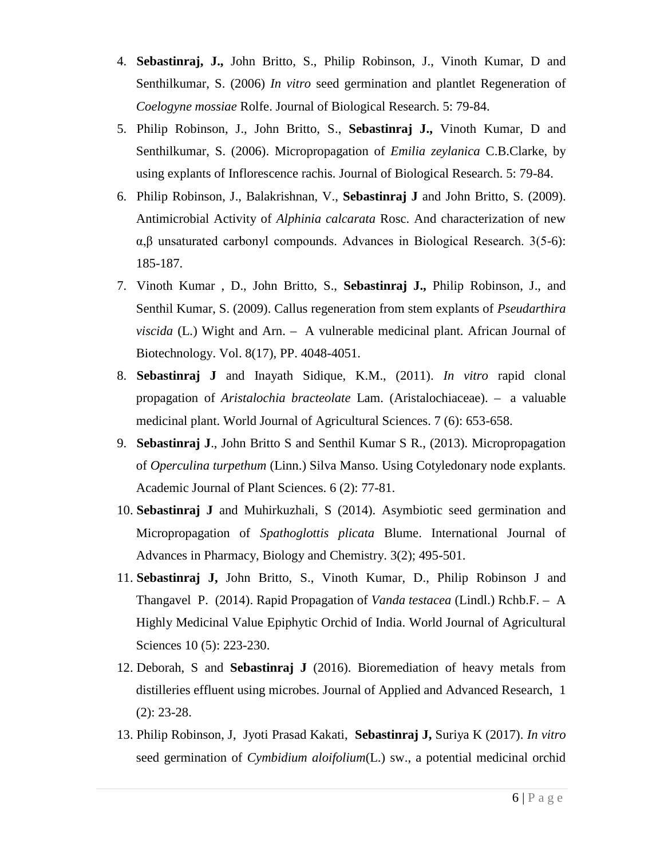- 4. **Sebastinraj, J.,** John Britto, S., Philip Robinson, J., Vinoth Kumar, D and Senthilkumar, S. (2006) *In vitro* seed germination and plantlet Regeneration of *Coelogyne mossiae* Rolfe. Journal of Biological Research. 5: 79-84.
- 5. Philip Robinson, J., John Britto, S., **Sebastinraj J.,** Vinoth Kumar, D and Senthilkumar, S. (2006). Micropropagation of *Emilia zeylanica* C.B.Clarke, by using explants of Inflorescence rachis. Journal of Biological Research. 5: 79-84.
- 6. Philip Robinson, J., Balakrishnan, V., **Sebastinraj J** and John Britto, S. (2009). Antimicrobial Activity of *Alphinia calcarata* Rosc. And characterization of new α,β unsaturated carbonyl compounds. Advances in Biological Research. 3(5-6): 185-187.
- 7. Vinoth Kumar , D., John Britto, S., **Sebastinraj J.,** Philip Robinson, J., and Senthil Kumar, S. (2009). Callus regeneration from stem explants of *Pseudarthira viscida* (L.) Wight and Arn. – A vulnerable medicinal plant. African Journal of Biotechnology. Vol. 8(17), PP. 4048-4051.
- 8. **Sebastinraj J** and Inayath Sidique, K.M., (2011). *In vitro* rapid clonal propagation of *Aristalochia bracteolate* Lam. (Aristalochiaceae). – a valuable medicinal plant. World Journal of Agricultural Sciences. 7 (6): 653-658.
- 9. **Sebastinraj J**., John Britto S and Senthil Kumar S R., (2013). Micropropagation of *Operculina turpethum* (Linn.) Silva Manso. Using Cotyledonary node explants. Academic Journal of Plant Sciences. 6 (2): 77-81.
- 10. **Sebastinraj J** and Muhirkuzhali, S (2014). Asymbiotic seed germination and Micropropagation of *Spathoglottis plicata* Blume. International Journal of Advances in Pharmacy, Biology and Chemistry. 3(2); 495-501.
- 11. **Sebastinraj J,** John Britto, S., Vinoth Kumar, D., Philip Robinson J and Thangavel P. (2014). Rapid Propagation of *Vanda testacea* (Lindl.) Rchb.F. – A Highly Medicinal Value Epiphytic Orchid of India. World Journal of Agricultural Sciences 10 (5): 223-230.
- 12. Deborah, S and **Sebastinraj J** (2016). Bioremediation of heavy metals from distilleries effluent using microbes. Journal of Applied and Advanced Research, 1 (2): 23-28.
- 13. Philip Robinson, J, Jyoti Prasad Kakati, **Sebastinraj J,** Suriya K (2017). *In vitro* seed germination of *Cymbidium aloifolium*(L.) sw., a potential medicinal orchid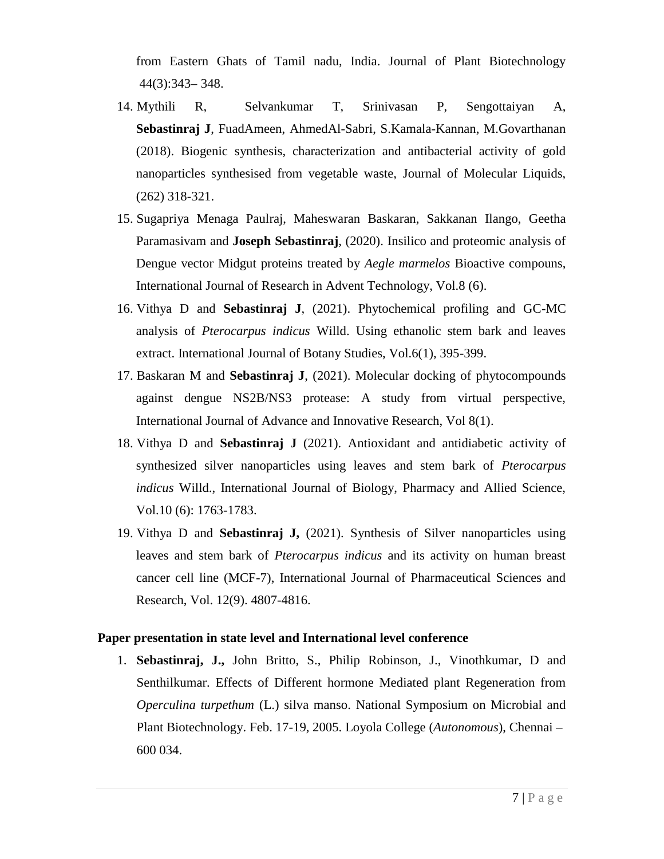from Eastern Ghats of Tamil nadu, India. Journal of Plant Biotechnology 44(3):343– 348.

- 14. [Mythili](https://www.sciencedirect.com/science/article/pii/S0167732218309991#!) R, [Selvankumar](https://www.sciencedirect.com/science/article/pii/S0167732218309991#!) T, Srinivasan P, Sengottaiyan A, **[Sebastinraj](https://www.sciencedirect.com/science/article/pii/S0167732218309991#!) J**, [FuadAmeen, AhmedAl-Sabri, S.Kamala-Kannan, M.Govarthanan](https://www.sciencedirect.com/science/article/pii/S0167732218309991#!) (2018). Biogenic synthesis, characterization and antibacterial activity of gold nanoparticles synthesised from vegetable waste, Journal of Molecular Liquids, (262) 318-321.
- 15. Sugapriya Menaga Paulraj, Maheswaran Baskaran, Sakkanan Ilango, Geetha Paramasivam and **Joseph Sebastinraj**, (2020). Insilico and proteomic analysis of Dengue vector Midgut proteins treated by *Aegle marmelos* Bioactive compouns, International Journal of Research in Advent Technology, Vol.8 (6).
- 16. Vithya D and **Sebastinraj J**, (2021). Phytochemical profiling and GC-MC analysis of *Pterocarpus indicus* Willd. Using ethanolic stem bark and leaves extract. International Journal of Botany Studies, Vol.6(1), 395-399.
- 17. Baskaran M and **Sebastinraj J**, (2021). Molecular docking of phytocompounds against dengue NS2B/NS3 protease: A study from virtual perspective, International Journal of Advance and Innovative Research, Vol 8(1).
- 18. Vithya D and **Sebastinraj J** (2021). Antioxidant and antidiabetic activity of synthesized silver nanoparticles using leaves and stem bark of *Pterocarpus indicus* Willd., International Journal of Biology, Pharmacy and Allied Science, Vol.10 (6): 1763-1783.
- 19. Vithya D and **Sebastinraj J,** (2021). Synthesis of Silver nanoparticles using leaves and stem bark of *Pterocarpus indicus* and its activity on human breast cancer cell line (MCF-7), International Journal of Pharmaceutical Sciences and Research, Vol. 12(9). 4807-4816.

#### **Paper presentation in state level and International level conference**

1. **Sebastinraj, J.,** John Britto, S., Philip Robinson, J., Vinothkumar, D and Senthilkumar. Effects of Different hormone Mediated plant Regeneration from *Operculina turpethum* (L.) silva manso. National Symposium on Microbial and Plant Biotechnology. Feb. 17-19, 2005. Loyola College (*Autonomous*), Chennai – 600 034.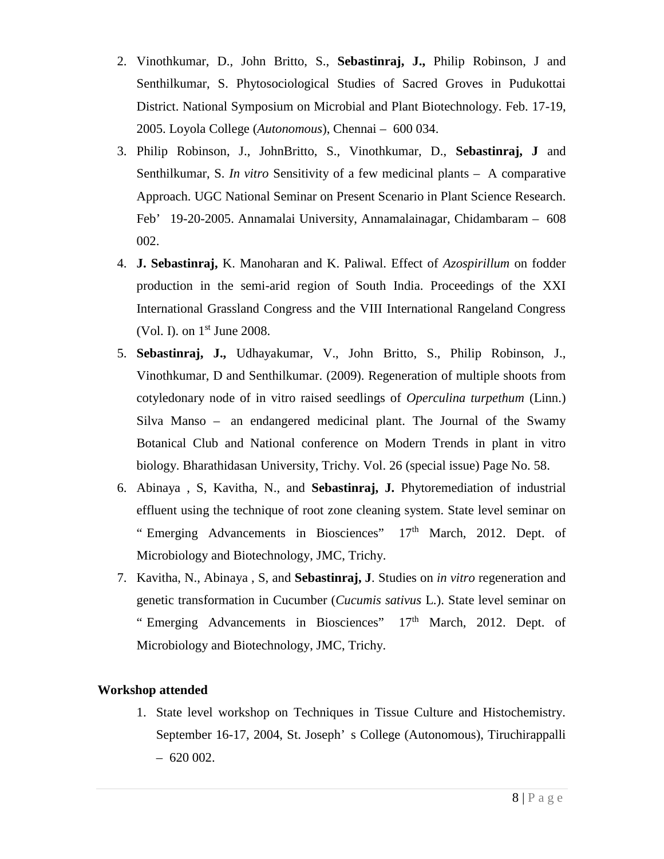- 2. Vinothkumar, D., John Britto, S., **Sebastinraj, J.,** Philip Robinson, J and Senthilkumar, S. Phytosociological Studies of Sacred Groves in Pudukottai District. National Symposium on Microbial and Plant Biotechnology. Feb. 17-19, 2005. Loyola College (*Autonomous*), Chennai – 600 034.
- 3. Philip Robinson, J., JohnBritto, S., Vinothkumar, D., **Sebastinraj, J** and Senthilkumar, S. *In vitro* Sensitivity of a few medicinal plants – A comparative Approach. UGC National Seminar on Present Scenario in Plant Science Research. Feb' 19-20-2005. Annamalai University, Annamalainagar, Chidambaram – 608 002.
- 4. **J. Sebastinraj,** K. Manoharan and K. Paliwal. Effect of *Azospirillum* on fodder production in the semi-arid region of South India. Proceedings of the XXI International Grassland Congress and the VIII International Rangeland Congress (Vol. I). on  $1<sup>st</sup>$  June 2008.
- 5. **Sebastinraj, J.,** Udhayakumar, V., John Britto, S., Philip Robinson, J., Vinothkumar, D and Senthilkumar. (2009). Regeneration of multiple shoots from cotyledonary node of in vitro raised seedlings of *Operculina turpethum* (Linn.) Silva Manso – an endangered medicinal plant. The Journal of the Swamy Botanical Club and National conference on Modern Trends in plant in vitro biology. Bharathidasan University, Trichy. Vol. 26 (special issue) Page No. 58.
- 6. Abinaya , S, Kavitha, N., and **Sebastinraj, J.** Phytoremediation of industrial effluent using the technique of root zone cleaning system. State level seminar on " Emerging Advancements in Biosciences"  $17<sup>th</sup>$  March, 2012. Dept. of Microbiology and Biotechnology, JMC, Trichy.
- 7. Kavitha, N., Abinaya , S, and **Sebastinraj, J**. Studies on *in vitro* regeneration and genetic transformation in Cucumber (*Cucumis sativus* L.). State level seminar on " Emerging Advancements in Biosciences"  $17<sup>th</sup>$  March, 2012. Dept. of Microbiology and Biotechnology, JMC, Trichy.

#### **Workshop attended**

1. State level workshop on Techniques in Tissue Culture and Histochemistry. September 16-17, 2004, St. Joseph' s College (Autonomous), Tiruchirappalli  $-620002$ .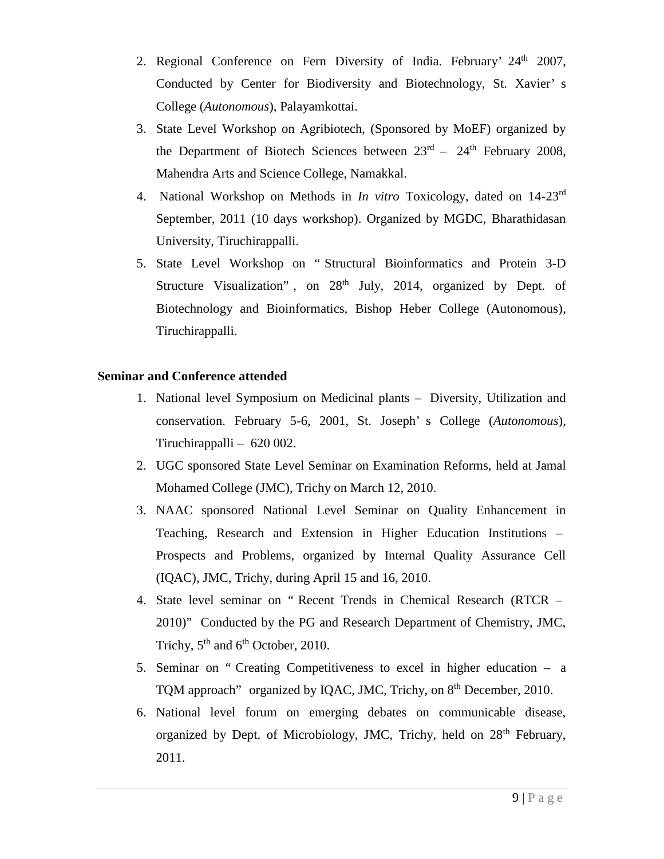- 2. Regional Conference on Fern Diversity of India. February'  $24<sup>th</sup>$  2007, Conducted by Center for Biodiversity and Biotechnology, St. Xavier' s College (*Autonomous*), Palayamkottai.
- 3. State Level Workshop on Agribiotech, (Sponsored by MoEF) organized by the Department of Biotech Sciences between  $23<sup>rd</sup> - 24<sup>th</sup>$  February 2008, Mahendra Arts and Science College, Namakkal.
- 4. National Workshop on Methods in *In vitro* Toxicology, dated on 14-23rd September, 2011 (10 days workshop). Organized by MGDC, Bharathidasan University, Tiruchirappalli.
- 5. State Level Workshop on " Structural Bioinformatics and Protein 3-D Structure Visualization", on  $28<sup>th</sup>$  July, 2014, organized by Dept. of Biotechnology and Bioinformatics, Bishop Heber College (Autonomous), Tiruchirappalli.

## **Seminar and Conference attended**

- 1. National level Symposium on Medicinal plants Diversity, Utilization and conservation. February 5-6, 2001, St. Joseph' s College (*Autonomous*), Tiruchirappalli – 620 002.
- 2. UGC sponsored State Level Seminar on Examination Reforms, held at Jamal Mohamed College (JMC), Trichy on March 12, 2010.
- 3. NAAC sponsored National Level Seminar on Quality Enhancement in Teaching, Research and Extension in Higher Education Institutions – Prospects and Problems, organized by Internal Quality Assurance Cell (IQAC), JMC, Trichy, during April 15 and 16, 2010.
- 4. State level seminar on " Recent Trends in Chemical Research (RTCR 2010)" Conducted by the PG and Research Department of Chemistry, JMC, Trichy,  $5<sup>th</sup>$  and  $6<sup>th</sup>$  October, 2010.
- 5. Seminar on " Creating Competitiveness to excel in higher education a TQM approach" organized by IQAC, JMC, Trichy, on 8<sup>th</sup> December, 2010.
- 6. National level forum on emerging debates on communicable disease, organized by Dept. of Microbiology, JMC, Trichy, held on  $28<sup>th</sup>$  February, 2011.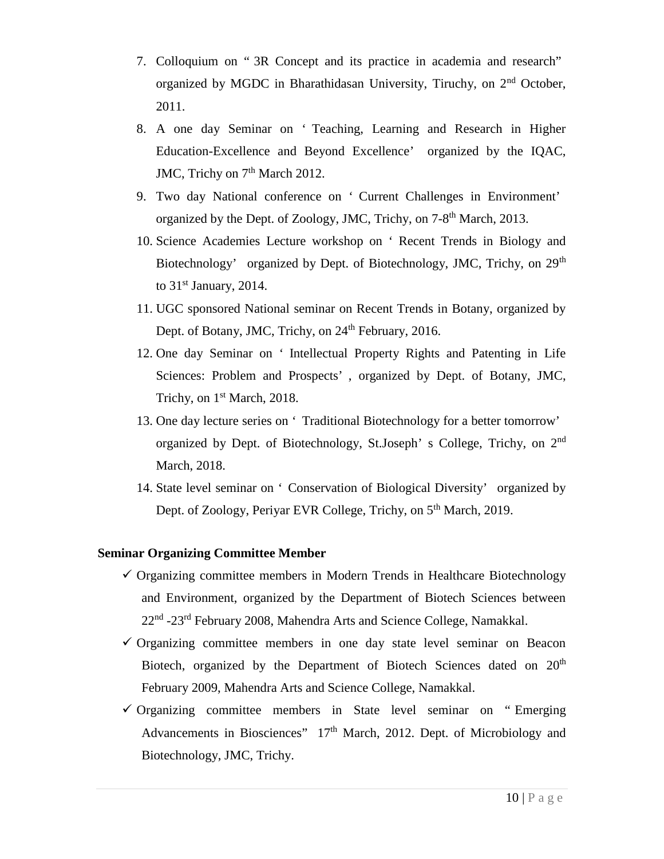- 7. Colloquium on " 3R Concept and its practice in academia and research" organized by MGDC in Bharathidasan University, Tiruchy, on 2nd October, 2011.
- 8. A one day Seminar on ' Teaching, Learning and Research in Higher Education-Excellence and Beyond Excellence' organized by the IQAC, JMC, Trichy on 7<sup>th</sup> March 2012.
- 9. Two day National conference on ' Current Challenges in Environment' organized by the Dept. of Zoology, JMC, Trichy, on 7-8<sup>th</sup> March, 2013.
- 10. Science Academies Lecture workshop on ' Recent Trends in Biology and Biotechnology' organized by Dept. of Biotechnology, JMC, Trichy, on 29<sup>th</sup> to 31<sup>st</sup> January, 2014.
- 11. UGC sponsored National seminar on Recent Trends in Botany, organized by Dept. of Botany, JMC, Trichy, on 24<sup>th</sup> February, 2016.
- 12. One day Seminar on ' Intellectual Property Rights and Patenting in Life Sciences: Problem and Prospects' , organized by Dept. of Botany, JMC, Trichy, on 1<sup>st</sup> March, 2018.
- 13. One day lecture series on ' Traditional Biotechnology for a better tomorrow' organized by Dept. of Biotechnology, St.Joseph' s College, Trichy, on 2nd March, 2018.
- 14. State level seminar on ' Conservation of Biological Diversity' organized by Dept. of Zoology, Periyar EVR College, Trichy, on 5<sup>th</sup> March, 2019.

#### **Seminar Organizing Committee Member**

- $\checkmark$  Organizing committee members in Modern Trends in Healthcare Biotechnology and Environment, organized by the Department of Biotech Sciences between 22<sup>nd</sup> -23<sup>rd</sup> February 2008, Mahendra Arts and Science College, Namakkal.
- $\checkmark$  Organizing committee members in one day state level seminar on Beacon Biotech, organized by the Department of Biotech Sciences dated on  $20<sup>th</sup>$ February 2009, Mahendra Arts and Science College, Namakkal.
- $\checkmark$  Organizing committee members in State level seminar on "Emerging Advancements in Biosciences" 17<sup>th</sup> March, 2012. Dept. of Microbiology and Biotechnology, JMC, Trichy.